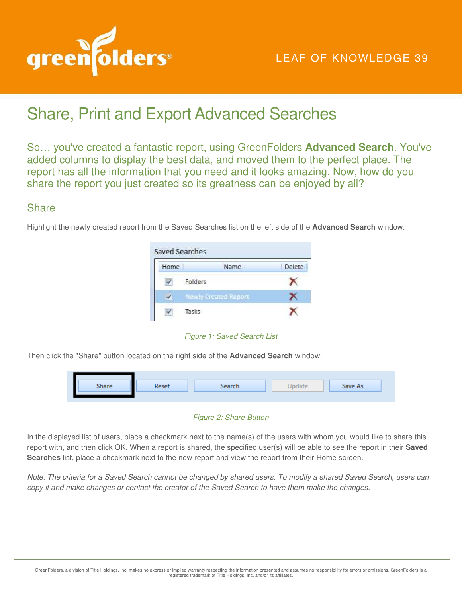

# Share, Print and Export Advanced Searches

So… you've created a fantastic report, using GreenFolders **Advanced Search**. You've added columns to display the best data, and moved them to the perfect place. The report has all the information that you need and it looks amazing. Now, how do you share the report you just created so its greatness can be enjoyed by all?

### **Share**

Highlight the newly created report from the Saved Searches list on the left side of the **Advanced Search** window.



*Figure 1: Saved Search List* 

Then click the "Share" button located on the right side of the **Advanced Search** window.

| Share | Reset | Search | ately | Save As |
|-------|-------|--------|-------|---------|
|       |       |        |       |         |

#### *Figure 2: Share Button*

In the displayed list of users, place a checkmark next to the name(s) of the users with whom you would like to share this report with, and then click OK. When a report is shared, the specified user(s) will be able to see the report in their **Saved Searches** list, place a checkmark next to the new report and view the report from their Home screen.

*Note: The criteria for a Saved Search cannot be changed by shared users. To modify a shared Saved Search, users can copy it and make changes or contact the creator of the Saved Search to have them make the changes.*